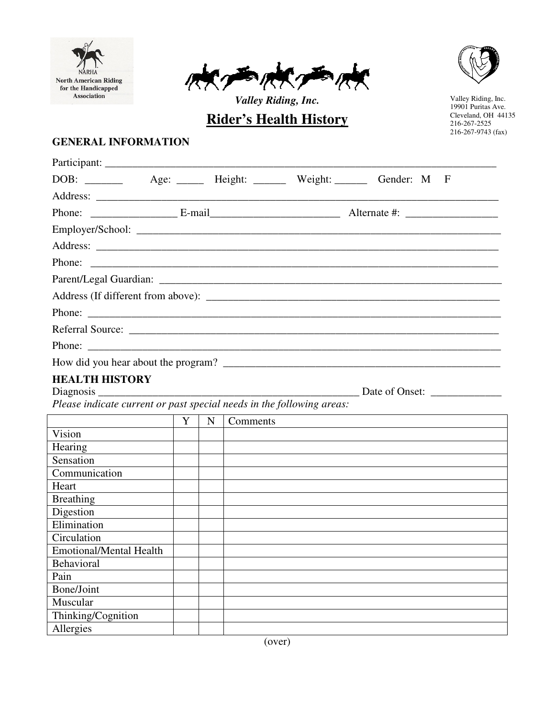





*Valley Riding, Inc.* **Rider's Health History**

Valley Riding, Inc. 19901 Puritas Ave. Cleveland, OH 44135 216-267-2525 216-267-9743 (fax)

## **GENERAL INFORMATION**

| Participant:                                                                                                                                                                    |   |             |                                                                   |
|---------------------------------------------------------------------------------------------------------------------------------------------------------------------------------|---|-------------|-------------------------------------------------------------------|
|                                                                                                                                                                                 |   |             | DOB: _______ Age: _____ Height: ______ Weight: ______ Gender: M F |
|                                                                                                                                                                                 |   |             |                                                                   |
|                                                                                                                                                                                 |   |             |                                                                   |
|                                                                                                                                                                                 |   |             |                                                                   |
|                                                                                                                                                                                 |   |             |                                                                   |
| Phone:                                                                                                                                                                          |   |             |                                                                   |
|                                                                                                                                                                                 |   |             |                                                                   |
|                                                                                                                                                                                 |   |             |                                                                   |
| Phone:                                                                                                                                                                          |   |             |                                                                   |
|                                                                                                                                                                                 |   |             |                                                                   |
| Phone:                                                                                                                                                                          |   |             |                                                                   |
|                                                                                                                                                                                 |   |             |                                                                   |
| <b>HEALTH HISTORY</b><br>Diagnosis $\frac{1}{\sqrt{1-\frac{1}{2}}\cdot\frac{1}{\sqrt{1-\frac{1}{2}}}}$<br>Please indicate current or past special needs in the following areas: |   |             |                                                                   |
|                                                                                                                                                                                 | Y | $\mathbf N$ | Comments                                                          |
| Vision                                                                                                                                                                          |   |             |                                                                   |
| Hearing                                                                                                                                                                         |   |             |                                                                   |
| Sensation                                                                                                                                                                       |   |             |                                                                   |
| Communication                                                                                                                                                                   |   |             |                                                                   |
| Heart                                                                                                                                                                           |   |             |                                                                   |
| <b>Breathing</b>                                                                                                                                                                |   |             |                                                                   |
| Digestion                                                                                                                                                                       |   |             |                                                                   |
| Elimination                                                                                                                                                                     |   |             |                                                                   |
| Circulation                                                                                                                                                                     |   |             |                                                                   |
| <b>Emotional/Mental Health</b>                                                                                                                                                  |   |             |                                                                   |
| Behavioral                                                                                                                                                                      |   |             |                                                                   |
| Pain                                                                                                                                                                            |   |             |                                                                   |
| <b>Bone/Joint</b>                                                                                                                                                               |   |             |                                                                   |
| Muscular                                                                                                                                                                        |   |             |                                                                   |
| Thinking/Cognition                                                                                                                                                              |   |             |                                                                   |
| Allergies                                                                                                                                                                       |   |             |                                                                   |